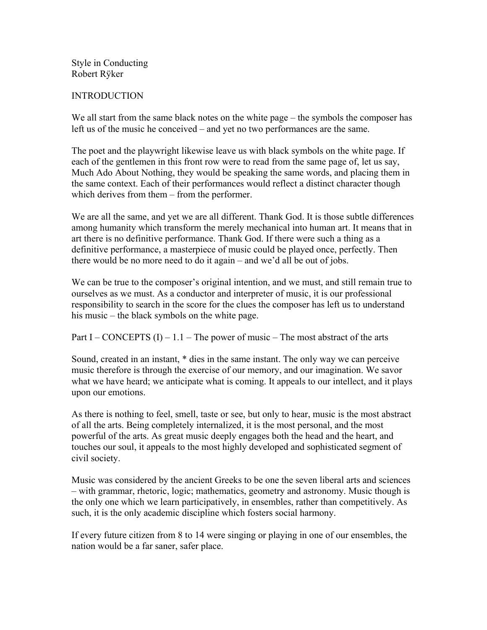Style in Conducting Robert Rÿker

#### **INTRODUCTION**

We all start from the same black notes on the white page – the symbols the composer has left us of the music he conceived – and yet no two performances are the same.

The poet and the playwright likewise leave us with black symbols on the white page. If each of the gentlemen in this front row were to read from the same page of, let us say, Much Ado About Nothing, they would be speaking the same words, and placing them in the same context. Each of their performances would reflect a distinct character though which derives from them – from the performer.

We are all the same, and yet we are all different. Thank God. It is those subtle differences among humanity which transform the merely mechanical into human art. It means that in art there is no definitive performance. Thank God. If there were such a thing as a definitive performance, a masterpiece of music could be played once, perfectly. Then there would be no more need to do it again – and we'd all be out of jobs.

We can be true to the composer's original intention, and we must, and still remain true to ourselves as we must. As a conductor and interpreter of music, it is our professional responsibility to search in the score for the clues the composer has left us to understand his music – the black symbols on the white page.

Part I – CONCEPTS  $(I)$  – 1.1 – The power of music – The most abstract of the arts

Sound, created in an instant, \* dies in the same instant. The only way we can perceive music therefore is through the exercise of our memory, and our imagination. We savor what we have heard; we anticipate what is coming. It appeals to our intellect, and it plays upon our emotions.

As there is nothing to feel, smell, taste or see, but only to hear, music is the most abstract of all the arts. Being completely internalized, it is the most personal, and the most powerful of the arts. As great music deeply engages both the head and the heart, and touches our soul, it appeals to the most highly developed and sophisticated segment of civil society.

Music was considered by the ancient Greeks to be one the seven liberal arts and sciences – with grammar, rhetoric, logic; mathematics, geometry and astronomy. Music though is the only one which we learn participatively, in ensembles, rather than competitively. As such, it is the only academic discipline which fosters social harmony.

If every future citizen from 8 to 14 were singing or playing in one of our ensembles, the nation would be a far saner, safer place.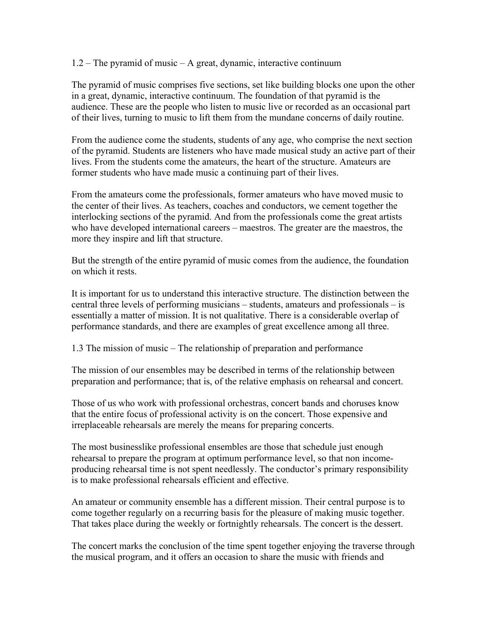#### 1.2 – The pyramid of music – A great, dynamic, interactive continuum

The pyramid of music comprises five sections, set like building blocks one upon the other in a great, dynamic, interactive continuum. The foundation of that pyramid is the audience. These are the people who listen to music live or recorded as an occasional part of their lives, turning to music to lift them from the mundane concerns of daily routine.

From the audience come the students, students of any age, who comprise the next section of the pyramid. Students are listeners who have made musical study an active part of their lives. From the students come the amateurs, the heart of the structure. Amateurs are former students who have made music a continuing part of their lives.

From the amateurs come the professionals, former amateurs who have moved music to the center of their lives. As teachers, coaches and conductors, we cement together the interlocking sections of the pyramid. And from the professionals come the great artists who have developed international careers – maestros. The greater are the maestros, the more they inspire and lift that structure.

But the strength of the entire pyramid of music comes from the audience, the foundation on which it rests.

It is important for us to understand this interactive structure. The distinction between the central three levels of performing musicians – students, amateurs and professionals – is essentially a matter of mission. It is not qualitative. There is a considerable overlap of performance standards, and there are examples of great excellence among all three.

1.3 The mission of music – The relationship of preparation and performance

The mission of our ensembles may be described in terms of the relationship between preparation and performance; that is, of the relative emphasis on rehearsal and concert.

Those of us who work with professional orchestras, concert bands and choruses know that the entire focus of professional activity is on the concert. Those expensive and irreplaceable rehearsals are merely the means for preparing concerts.

The most businesslike professional ensembles are those that schedule just enough rehearsal to prepare the program at optimum performance level, so that non incomeproducing rehearsal time is not spent needlessly. The conductor's primary responsibility is to make professional rehearsals efficient and effective.

An amateur or community ensemble has a different mission. Their central purpose is to come together regularly on a recurring basis for the pleasure of making music together. That takes place during the weekly or fortnightly rehearsals. The concert is the dessert.

The concert marks the conclusion of the time spent together enjoying the traverse through the musical program, and it offers an occasion to share the music with friends and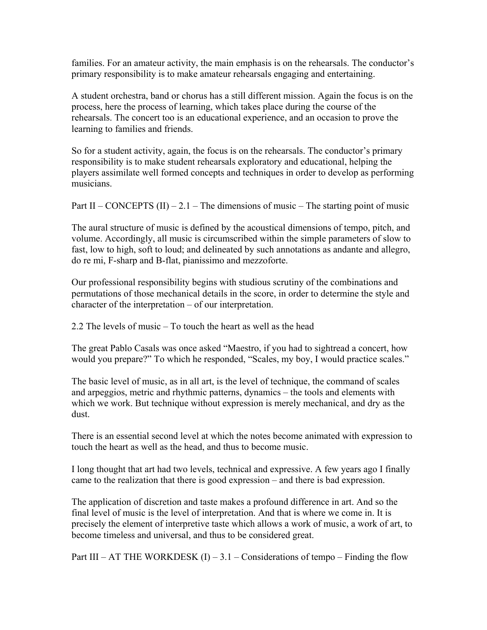families. For an amateur activity, the main emphasis is on the rehearsals. The conductor's primary responsibility is to make amateur rehearsals engaging and entertaining.

A student orchestra, band or chorus has a still different mission. Again the focus is on the process, here the process of learning, which takes place during the course of the rehearsals. The concert too is an educational experience, and an occasion to prove the learning to families and friends.

So for a student activity, again, the focus is on the rehearsals. The conductor's primary responsibility is to make student rehearsals exploratory and educational, helping the players assimilate well formed concepts and techniques in order to develop as performing musicians.

Part II – CONCEPTS (II) – 2.1 – The dimensions of music – The starting point of music

The aural structure of music is defined by the acoustical dimensions of tempo, pitch, and volume. Accordingly, all music is circumscribed within the simple parameters of slow to fast, low to high, soft to loud; and delineated by such annotations as andante and allegro, do re mi, F-sharp and B-flat, pianissimo and mezzoforte.

Our professional responsibility begins with studious scrutiny of the combinations and permutations of those mechanical details in the score, in order to determine the style and character of the interpretation – of our interpretation.

2.2 The levels of music – To touch the heart as well as the head

The great Pablo Casals was once asked "Maestro, if you had to sightread a concert, how would you prepare?" To which he responded, "Scales, my boy, I would practice scales."

The basic level of music, as in all art, is the level of technique, the command of scales and arpeggios, metric and rhythmic patterns, dynamics – the tools and elements with which we work. But technique without expression is merely mechanical, and dry as the dust.

There is an essential second level at which the notes become animated with expression to touch the heart as well as the head, and thus to become music.

I long thought that art had two levels, technical and expressive. A few years ago I finally came to the realization that there is good expression – and there is bad expression.

The application of discretion and taste makes a profound difference in art. And so the final level of music is the level of interpretation. And that is where we come in. It is precisely the element of interpretive taste which allows a work of music, a work of art, to become timeless and universal, and thus to be considered great.

Part III – AT THE WORKDESK  $(I)$  – 3.1 – Considerations of tempo – Finding the flow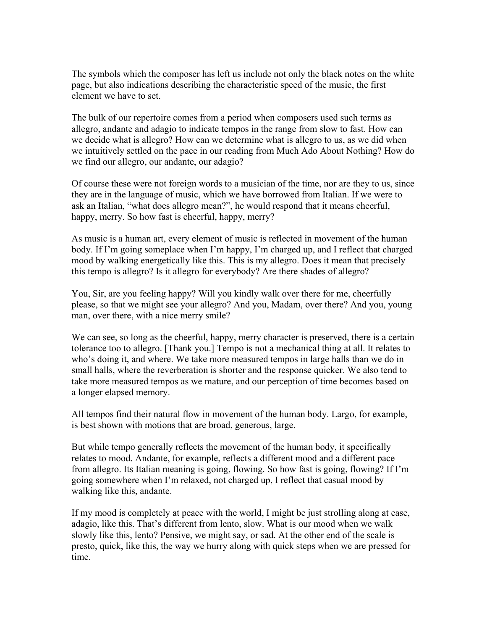The symbols which the composer has left us include not only the black notes on the white page, but also indications describing the characteristic speed of the music, the first element we have to set.

The bulk of our repertoire comes from a period when composers used such terms as allegro, andante and adagio to indicate tempos in the range from slow to fast. How can we decide what is allegro? How can we determine what is allegro to us, as we did when we intuitively settled on the pace in our reading from Much Ado About Nothing? How do we find our allegro, our andante, our adagio?

Of course these were not foreign words to a musician of the time, nor are they to us, since they are in the language of music, which we have borrowed from Italian. If we were to ask an Italian, "what does allegro mean?", he would respond that it means cheerful, happy, merry. So how fast is cheerful, happy, merry?

As music is a human art, every element of music is reflected in movement of the human body. If I'm going someplace when I'm happy, I'm charged up, and I reflect that charged mood by walking energetically like this. This is my allegro. Does it mean that precisely this tempo is allegro? Is it allegro for everybody? Are there shades of allegro?

You, Sir, are you feeling happy? Will you kindly walk over there for me, cheerfully please, so that we might see your allegro? And you, Madam, over there? And you, young man, over there, with a nice merry smile?

We can see, so long as the cheerful, happy, merry character is preserved, there is a certain tolerance too to allegro. [Thank you.] Tempo is not a mechanical thing at all. It relates to who's doing it, and where. We take more measured tempos in large halls than we do in small halls, where the reverberation is shorter and the response quicker. We also tend to take more measured tempos as we mature, and our perception of time becomes based on a longer elapsed memory.

All tempos find their natural flow in movement of the human body. Largo, for example, is best shown with motions that are broad, generous, large.

But while tempo generally reflects the movement of the human body, it specifically relates to mood. Andante, for example, reflects a different mood and a different pace from allegro. Its Italian meaning is going, flowing. So how fast is going, flowing? If I'm going somewhere when I'm relaxed, not charged up, I reflect that casual mood by walking like this, andante.

If my mood is completely at peace with the world, I might be just strolling along at ease, adagio, like this. That's different from lento, slow. What is our mood when we walk slowly like this, lento? Pensive, we might say, or sad. At the other end of the scale is presto, quick, like this, the way we hurry along with quick steps when we are pressed for time.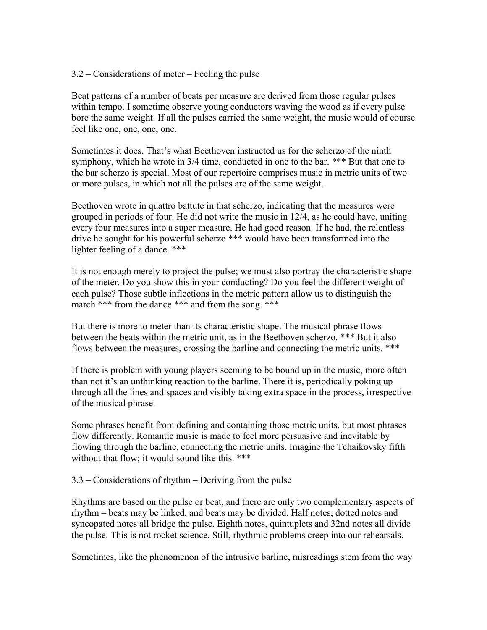### 3.2 – Considerations of meter – Feeling the pulse

Beat patterns of a number of beats per measure are derived from those regular pulses within tempo. I sometime observe young conductors waving the wood as if every pulse bore the same weight. If all the pulses carried the same weight, the music would of course feel like one, one, one, one.

Sometimes it does. That's what Beethoven instructed us for the scherzo of the ninth symphony, which he wrote in 3/4 time, conducted in one to the bar. \*\*\* But that one to the bar scherzo is special. Most of our repertoire comprises music in metric units of two or more pulses, in which not all the pulses are of the same weight.

Beethoven wrote in quattro battute in that scherzo, indicating that the measures were grouped in periods of four. He did not write the music in 12/4, as he could have, uniting every four measures into a super measure. He had good reason. If he had, the relentless drive he sought for his powerful scherzo \*\*\* would have been transformed into the lighter feeling of a dance. \*\*\*

It is not enough merely to project the pulse; we must also portray the characteristic shape of the meter. Do you show this in your conducting? Do you feel the different weight of each pulse? Those subtle inflections in the metric pattern allow us to distinguish the march \*\*\* from the dance \*\*\* and from the song. \*\*\*

But there is more to meter than its characteristic shape. The musical phrase flows between the beats within the metric unit, as in the Beethoven scherzo. \*\*\* But it also flows between the measures, crossing the barline and connecting the metric units. \*\*\*

If there is problem with young players seeming to be bound up in the music, more often than not it's an unthinking reaction to the barline. There it is, periodically poking up through all the lines and spaces and visibly taking extra space in the process, irrespective of the musical phrase.

Some phrases benefit from defining and containing those metric units, but most phrases flow differently. Romantic music is made to feel more persuasive and inevitable by flowing through the barline, connecting the metric units. Imagine the Tchaikovsky fifth without that flow; it would sound like this. \*\*\*

3.3 – Considerations of rhythm – Deriving from the pulse

Rhythms are based on the pulse or beat, and there are only two complementary aspects of rhythm – beats may be linked, and beats may be divided. Half notes, dotted notes and syncopated notes all bridge the pulse. Eighth notes, quintuplets and 32nd notes all divide the pulse. This is not rocket science. Still, rhythmic problems creep into our rehearsals.

Sometimes, like the phenomenon of the intrusive barline, misreadings stem from the way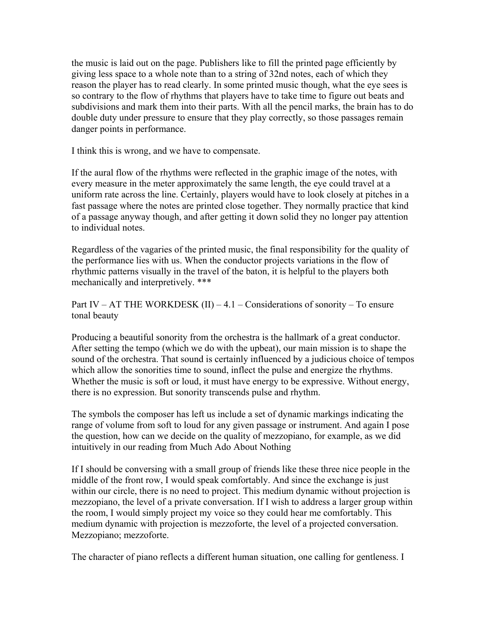the music is laid out on the page. Publishers like to fill the printed page efficiently by giving less space to a whole note than to a string of 32nd notes, each of which they reason the player has to read clearly. In some printed music though, what the eye sees is so contrary to the flow of rhythms that players have to take time to figure out beats and subdivisions and mark them into their parts. With all the pencil marks, the brain has to do double duty under pressure to ensure that they play correctly, so those passages remain danger points in performance.

I think this is wrong, and we have to compensate.

If the aural flow of the rhythms were reflected in the graphic image of the notes, with every measure in the meter approximately the same length, the eye could travel at a uniform rate across the line. Certainly, players would have to look closely at pitches in a fast passage where the notes are printed close together. They normally practice that kind of a passage anyway though, and after getting it down solid they no longer pay attention to individual notes.

Regardless of the vagaries of the printed music, the final responsibility for the quality of the performance lies with us. When the conductor projects variations in the flow of rhythmic patterns visually in the travel of the baton, it is helpful to the players both mechanically and interpretively. \*\*\*

Part IV – AT THE WORKDESK  $(II) - 4.1$  – Considerations of sonority – To ensure tonal beauty

Producing a beautiful sonority from the orchestra is the hallmark of a great conductor. After setting the tempo (which we do with the upbeat), our main mission is to shape the sound of the orchestra. That sound is certainly influenced by a judicious choice of tempos which allow the sonorities time to sound, inflect the pulse and energize the rhythms. Whether the music is soft or loud, it must have energy to be expressive. Without energy, there is no expression. But sonority transcends pulse and rhythm.

The symbols the composer has left us include a set of dynamic markings indicating the range of volume from soft to loud for any given passage or instrument. And again I pose the question, how can we decide on the quality of mezzopiano, for example, as we did intuitively in our reading from Much Ado About Nothing

If I should be conversing with a small group of friends like these three nice people in the middle of the front row, I would speak comfortably. And since the exchange is just within our circle, there is no need to project. This medium dynamic without projection is mezzopiano, the level of a private conversation. If I wish to address a larger group within the room, I would simply project my voice so they could hear me comfortably. This medium dynamic with projection is mezzoforte, the level of a projected conversation. Mezzopiano; mezzoforte.

The character of piano reflects a different human situation, one calling for gentleness. I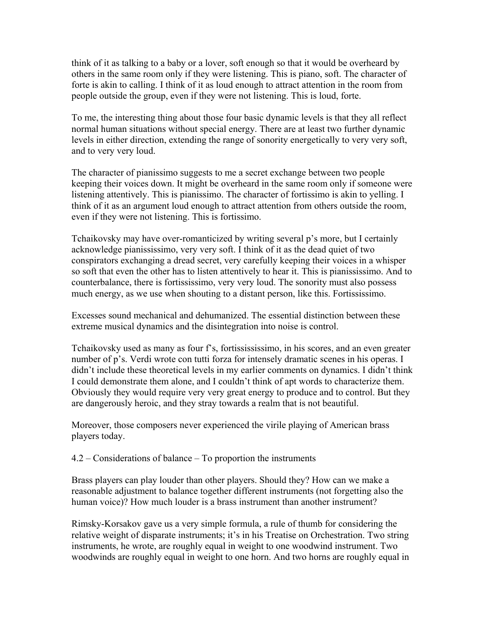think of it as talking to a baby or a lover, soft enough so that it would be overheard by others in the same room only if they were listening. This is piano, soft. The character of forte is akin to calling. I think of it as loud enough to attract attention in the room from people outside the group, even if they were not listening. This is loud, forte.

To me, the interesting thing about those four basic dynamic levels is that they all reflect normal human situations without special energy. There are at least two further dynamic levels in either direction, extending the range of sonority energetically to very very soft, and to very very loud.

The character of pianissimo suggests to me a secret exchange between two people keeping their voices down. It might be overheard in the same room only if someone were listening attentively. This is pianissimo. The character of fortissimo is akin to yelling. I think of it as an argument loud enough to attract attention from others outside the room, even if they were not listening. This is fortissimo.

Tchaikovsky may have over-romanticized by writing several p's more, but I certainly acknowledge pianississimo, very very soft. I think of it as the dead quiet of two conspirators exchanging a dread secret, very carefully keeping their voices in a whisper so soft that even the other has to listen attentively to hear it. This is pianississimo. And to counterbalance, there is fortississimo, very very loud. The sonority must also possess much energy, as we use when shouting to a distant person, like this. Fortississimo.

Excesses sound mechanical and dehumanized. The essential distinction between these extreme musical dynamics and the disintegration into noise is control.

Tchaikovsky used as many as four f's, fortissississimo, in his scores, and an even greater number of p's. Verdi wrote con tutti forza for intensely dramatic scenes in his operas. I didn't include these theoretical levels in my earlier comments on dynamics. I didn't think I could demonstrate them alone, and I couldn't think of apt words to characterize them. Obviously they would require very very great energy to produce and to control. But they are dangerously heroic, and they stray towards a realm that is not beautiful.

Moreover, those composers never experienced the virile playing of American brass players today.

4.2 – Considerations of balance – To proportion the instruments

Brass players can play louder than other players. Should they? How can we make a reasonable adjustment to balance together different instruments (not forgetting also the human voice)? How much louder is a brass instrument than another instrument?

Rimsky-Korsakov gave us a very simple formula, a rule of thumb for considering the relative weight of disparate instruments; it's in his Treatise on Orchestration. Two string instruments, he wrote, are roughly equal in weight to one woodwind instrument. Two woodwinds are roughly equal in weight to one horn. And two horns are roughly equal in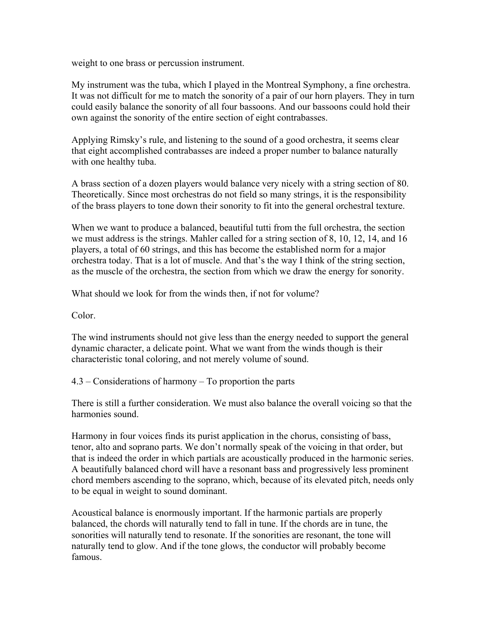weight to one brass or percussion instrument.

My instrument was the tuba, which I played in the Montreal Symphony, a fine orchestra. It was not difficult for me to match the sonority of a pair of our horn players. They in turn could easily balance the sonority of all four bassoons. And our bassoons could hold their own against the sonority of the entire section of eight contrabasses.

Applying Rimsky's rule, and listening to the sound of a good orchestra, it seems clear that eight accomplished contrabasses are indeed a proper number to balance naturally with one healthy tuba.

A brass section of a dozen players would balance very nicely with a string section of 80. Theoretically. Since most orchestras do not field so many strings, it is the responsibility of the brass players to tone down their sonority to fit into the general orchestral texture.

When we want to produce a balanced, beautiful tutti from the full orchestra, the section we must address is the strings. Mahler called for a string section of 8, 10, 12, 14, and 16 players, a total of 60 strings, and this has become the established norm for a major orchestra today. That is a lot of muscle. And that's the way I think of the string section, as the muscle of the orchestra, the section from which we draw the energy for sonority.

What should we look for from the winds then, if not for volume?

Color.

The wind instruments should not give less than the energy needed to support the general dynamic character, a delicate point. What we want from the winds though is their characteristic tonal coloring, and not merely volume of sound.

4.3 – Considerations of harmony – To proportion the parts

There is still a further consideration. We must also balance the overall voicing so that the harmonies sound.

Harmony in four voices finds its purist application in the chorus, consisting of bass, tenor, alto and soprano parts. We don't normally speak of the voicing in that order, but that is indeed the order in which partials are acoustically produced in the harmonic series. A beautifully balanced chord will have a resonant bass and progressively less prominent chord members ascending to the soprano, which, because of its elevated pitch, needs only to be equal in weight to sound dominant.

Acoustical balance is enormously important. If the harmonic partials are properly balanced, the chords will naturally tend to fall in tune. If the chords are in tune, the sonorities will naturally tend to resonate. If the sonorities are resonant, the tone will naturally tend to glow. And if the tone glows, the conductor will probably become famous.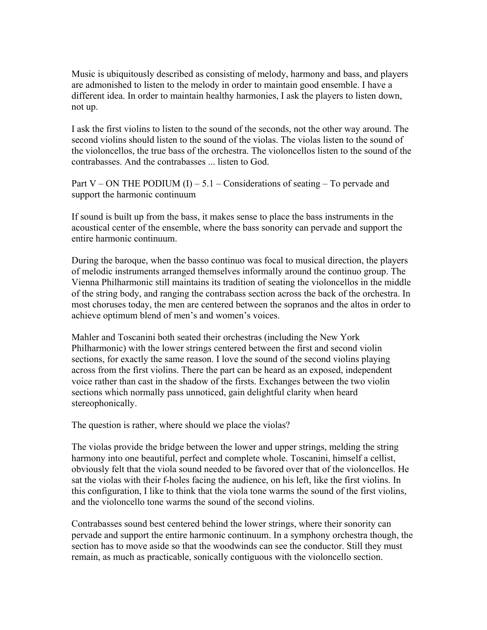Music is ubiquitously described as consisting of melody, harmony and bass, and players are admonished to listen to the melody in order to maintain good ensemble. I have a different idea. In order to maintain healthy harmonies, I ask the players to listen down, not up.

I ask the first violins to listen to the sound of the seconds, not the other way around. The second violins should listen to the sound of the violas. The violas listen to the sound of the violoncellos, the true bass of the orchestra. The violoncellos listen to the sound of the contrabasses. And the contrabasses ... listen to God.

Part V – ON THE PODIUM  $(I)$  – 5.1 – Considerations of seating – To pervade and support the harmonic continuum

If sound is built up from the bass, it makes sense to place the bass instruments in the acoustical center of the ensemble, where the bass sonority can pervade and support the entire harmonic continuum.

During the baroque, when the basso continuo was focal to musical direction, the players of melodic instruments arranged themselves informally around the continuo group. The Vienna Philharmonic still maintains its tradition of seating the violoncellos in the middle of the string body, and ranging the contrabass section across the back of the orchestra. In most choruses today, the men are centered between the sopranos and the altos in order to achieve optimum blend of men's and women's voices.

Mahler and Toscanini both seated their orchestras (including the New York Philharmonic) with the lower strings centered between the first and second violin sections, for exactly the same reason. I love the sound of the second violins playing across from the first violins. There the part can be heard as an exposed, independent voice rather than cast in the shadow of the firsts. Exchanges between the two violin sections which normally pass unnoticed, gain delightful clarity when heard stereophonically.

The question is rather, where should we place the violas?

The violas provide the bridge between the lower and upper strings, melding the string harmony into one beautiful, perfect and complete whole. Toscanini, himself a cellist, obviously felt that the viola sound needed to be favored over that of the violoncellos. He sat the violas with their f-holes facing the audience, on his left, like the first violins. In this configuration, I like to think that the viola tone warms the sound of the first violins, and the violoncello tone warms the sound of the second violins.

Contrabasses sound best centered behind the lower strings, where their sonority can pervade and support the entire harmonic continuum. In a symphony orchestra though, the section has to move aside so that the woodwinds can see the conductor. Still they must remain, as much as practicable, sonically contiguous with the violoncello section.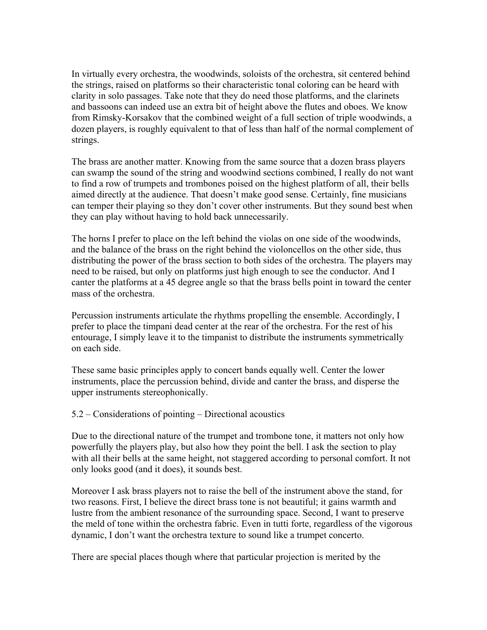In virtually every orchestra, the woodwinds, soloists of the orchestra, sit centered behind the strings, raised on platforms so their characteristic tonal coloring can be heard with clarity in solo passages. Take note that they do need those platforms, and the clarinets and bassoons can indeed use an extra bit of height above the flutes and oboes. We know from Rimsky-Korsakov that the combined weight of a full section of triple woodwinds, a dozen players, is roughly equivalent to that of less than half of the normal complement of strings.

The brass are another matter. Knowing from the same source that a dozen brass players can swamp the sound of the string and woodwind sections combined, I really do not want to find a row of trumpets and trombones poised on the highest platform of all, their bells aimed directly at the audience. That doesn't make good sense. Certainly, fine musicians can temper their playing so they don't cover other instruments. But they sound best when they can play without having to hold back unnecessarily.

The horns I prefer to place on the left behind the violas on one side of the woodwinds, and the balance of the brass on the right behind the violoncellos on the other side, thus distributing the power of the brass section to both sides of the orchestra. The players may need to be raised, but only on platforms just high enough to see the conductor. And I canter the platforms at a 45 degree angle so that the brass bells point in toward the center mass of the orchestra.

Percussion instruments articulate the rhythms propelling the ensemble. Accordingly, I prefer to place the timpani dead center at the rear of the orchestra. For the rest of his entourage, I simply leave it to the timpanist to distribute the instruments symmetrically on each side.

These same basic principles apply to concert bands equally well. Center the lower instruments, place the percussion behind, divide and canter the brass, and disperse the upper instruments stereophonically.

5.2 – Considerations of pointing – Directional acoustics

Due to the directional nature of the trumpet and trombone tone, it matters not only how powerfully the players play, but also how they point the bell. I ask the section to play with all their bells at the same height, not staggered according to personal comfort. It not only looks good (and it does), it sounds best.

Moreover I ask brass players not to raise the bell of the instrument above the stand, for two reasons. First, I believe the direct brass tone is not beautiful; it gains warmth and lustre from the ambient resonance of the surrounding space. Second, I want to preserve the meld of tone within the orchestra fabric. Even in tutti forte, regardless of the vigorous dynamic, I don't want the orchestra texture to sound like a trumpet concerto.

There are special places though where that particular projection is merited by the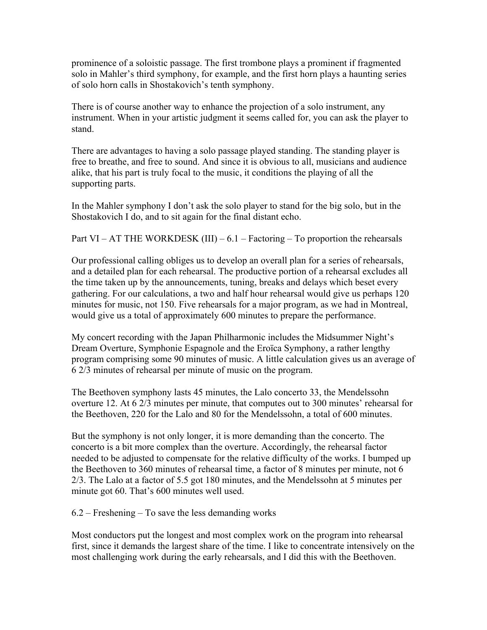prominence of a soloistic passage. The first trombone plays a prominent if fragmented solo in Mahler's third symphony, for example, and the first horn plays a haunting series of solo horn calls in Shostakovich's tenth symphony.

There is of course another way to enhance the projection of a solo instrument, any instrument. When in your artistic judgment it seems called for, you can ask the player to stand.

There are advantages to having a solo passage played standing. The standing player is free to breathe, and free to sound. And since it is obvious to all, musicians and audience alike, that his part is truly focal to the music, it conditions the playing of all the supporting parts.

In the Mahler symphony I don't ask the solo player to stand for the big solo, but in the Shostakovich I do, and to sit again for the final distant echo.

Part VI – AT THE WORKDESK (III) –  $6.1$  – Factoring – To proportion the rehearsals

Our professional calling obliges us to develop an overall plan for a series of rehearsals, and a detailed plan for each rehearsal. The productive portion of a rehearsal excludes all the time taken up by the announcements, tuning, breaks and delays which beset every gathering. For our calculations, a two and half hour rehearsal would give us perhaps 120 minutes for music, not 150. Five rehearsals for a major program, as we had in Montreal, would give us a total of approximately 600 minutes to prepare the performance.

My concert recording with the Japan Philharmonic includes the Midsummer Night's Dream Overture, Symphonie Espagnole and the Eroïca Symphony, a rather lengthy program comprising some 90 minutes of music. A little calculation gives us an average of 6 2/3 minutes of rehearsal per minute of music on the program.

The Beethoven symphony lasts 45 minutes, the Lalo concerto 33, the Mendelssohn overture 12. At 6 2/3 minutes per minute, that computes out to 300 minutes' rehearsal for the Beethoven, 220 for the Lalo and 80 for the Mendelssohn, a total of 600 minutes.

But the symphony is not only longer, it is more demanding than the concerto. The concerto is a bit more complex than the overture. Accordingly, the rehearsal factor needed to be adjusted to compensate for the relative difficulty of the works. I bumped up the Beethoven to 360 minutes of rehearsal time, a factor of 8 minutes per minute, not 6 2/3. The Lalo at a factor of 5.5 got 180 minutes, and the Mendelssohn at 5 minutes per minute got 60. That's 600 minutes well used.

 $6.2$  – Freshening – To save the less demanding works

Most conductors put the longest and most complex work on the program into rehearsal first, since it demands the largest share of the time. I like to concentrate intensively on the most challenging work during the early rehearsals, and I did this with the Beethoven.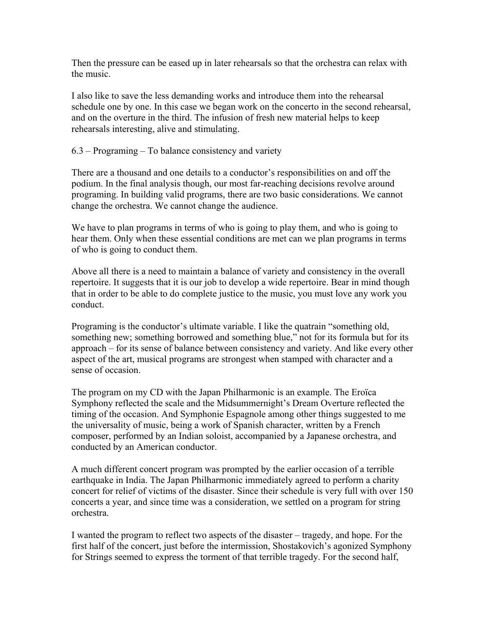Then the pressure can be eased up in later rehearsals so that the orchestra can relax with the music.

I also like to save the less demanding works and introduce them into the rehearsal schedule one by one. In this case we began work on the concerto in the second rehearsal, and on the overture in the third. The infusion of fresh new material helps to keep rehearsals interesting, alive and stimulating.

6.3 – Programing – To balance consistency and variety

There are a thousand and one details to a conductor's responsibilities on and off the podium. In the final analysis though, our most far-reaching decisions revolve around programing. In building valid programs, there are two basic considerations. We cannot change the orchestra. We cannot change the audience.

We have to plan programs in terms of who is going to play them, and who is going to hear them. Only when these essential conditions are met can we plan programs in terms of who is going to conduct them.

Above all there is a need to maintain a balance of variety and consistency in the overall repertoire. It suggests that it is our job to develop a wide repertoire. Bear in mind though that in order to be able to do complete justice to the music, you must love any work you conduct.

Programing is the conductor's ultimate variable. I like the quatrain "something old, something new; something borrowed and something blue," not for its formula but for its approach – for its sense of balance between consistency and variety. And like every other aspect of the art, musical programs are strongest when stamped with character and a sense of occasion.

The program on my CD with the Japan Philharmonic is an example. The Eroïca Symphony reflected the scale and the Midsummernight's Dream Overture reflected the timing of the occasion. And Symphonie Espagnole among other things suggested to me the universality of music, being a work of Spanish character, written by a French composer, performed by an Indian soloist, accompanied by a Japanese orchestra, and conducted by an American conductor.

A much different concert program was prompted by the earlier occasion of a terrible earthquake in India. The Japan Philharmonic immediately agreed to perform a charity concert for relief of victims of the disaster. Since their schedule is very full with over 150 concerts a year, and since time was a consideration, we settled on a program for string orchestra.

I wanted the program to reflect two aspects of the disaster – tragedy, and hope. For the first half of the concert, just before the intermission, Shostakovich's agonized Symphony for Strings seemed to express the torment of that terrible tragedy. For the second half,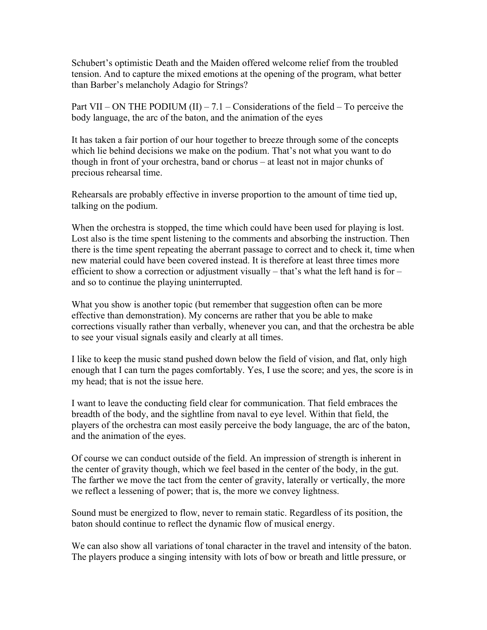Schubert's optimistic Death and the Maiden offered welcome relief from the troubled tension. And to capture the mixed emotions at the opening of the program, what better than Barber's melancholy Adagio for Strings?

Part VII – ON THE PODIUM  $(II) - 7.1$  – Considerations of the field – To perceive the body language, the arc of the baton, and the animation of the eyes

It has taken a fair portion of our hour together to breeze through some of the concepts which lie behind decisions we make on the podium. That's not what you want to do though in front of your orchestra, band or chorus – at least not in major chunks of precious rehearsal time.

Rehearsals are probably effective in inverse proportion to the amount of time tied up, talking on the podium.

When the orchestra is stopped, the time which could have been used for playing is lost. Lost also is the time spent listening to the comments and absorbing the instruction. Then there is the time spent repeating the aberrant passage to correct and to check it, time when new material could have been covered instead. It is therefore at least three times more efficient to show a correction or adjustment visually – that's what the left hand is for – and so to continue the playing uninterrupted.

What you show is another topic (but remember that suggestion often can be more effective than demonstration). My concerns are rather that you be able to make corrections visually rather than verbally, whenever you can, and that the orchestra be able to see your visual signals easily and clearly at all times.

I like to keep the music stand pushed down below the field of vision, and flat, only high enough that I can turn the pages comfortably. Yes, I use the score; and yes, the score is in my head; that is not the issue here.

I want to leave the conducting field clear for communication. That field embraces the breadth of the body, and the sightline from naval to eye level. Within that field, the players of the orchestra can most easily perceive the body language, the arc of the baton, and the animation of the eyes.

Of course we can conduct outside of the field. An impression of strength is inherent in the center of gravity though, which we feel based in the center of the body, in the gut. The farther we move the tact from the center of gravity, laterally or vertically, the more we reflect a lessening of power; that is, the more we convey lightness.

Sound must be energized to flow, never to remain static. Regardless of its position, the baton should continue to reflect the dynamic flow of musical energy.

We can also show all variations of tonal character in the travel and intensity of the baton. The players produce a singing intensity with lots of bow or breath and little pressure, or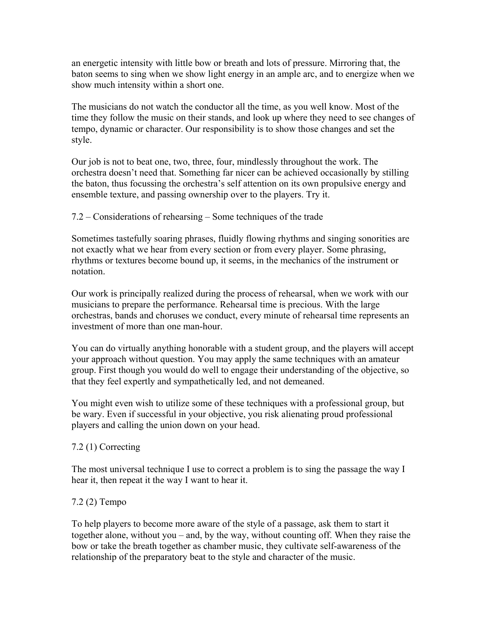an energetic intensity with little bow or breath and lots of pressure. Mirroring that, the baton seems to sing when we show light energy in an ample arc, and to energize when we show much intensity within a short one.

The musicians do not watch the conductor all the time, as you well know. Most of the time they follow the music on their stands, and look up where they need to see changes of tempo, dynamic or character. Our responsibility is to show those changes and set the style.

Our job is not to beat one, two, three, four, mindlessly throughout the work. The orchestra doesn't need that. Something far nicer can be achieved occasionally by stilling the baton, thus focussing the orchestra's self attention on its own propulsive energy and ensemble texture, and passing ownership over to the players. Try it.

7.2 – Considerations of rehearsing – Some techniques of the trade

Sometimes tastefully soaring phrases, fluidly flowing rhythms and singing sonorities are not exactly what we hear from every section or from every player. Some phrasing, rhythms or textures become bound up, it seems, in the mechanics of the instrument or notation.

Our work is principally realized during the process of rehearsal, when we work with our musicians to prepare the performance. Rehearsal time is precious. With the large orchestras, bands and choruses we conduct, every minute of rehearsal time represents an investment of more than one man-hour.

You can do virtually anything honorable with a student group, and the players will accept your approach without question. You may apply the same techniques with an amateur group. First though you would do well to engage their understanding of the objective, so that they feel expertly and sympathetically led, and not demeaned.

You might even wish to utilize some of these techniques with a professional group, but be wary. Even if successful in your objective, you risk alienating proud professional players and calling the union down on your head.

## 7.2 (1) Correcting

The most universal technique I use to correct a problem is to sing the passage the way I hear it, then repeat it the way I want to hear it.

## 7.2 (2) Tempo

To help players to become more aware of the style of a passage, ask them to start it together alone, without you – and, by the way, without counting off. When they raise the bow or take the breath together as chamber music, they cultivate self-awareness of the relationship of the preparatory beat to the style and character of the music.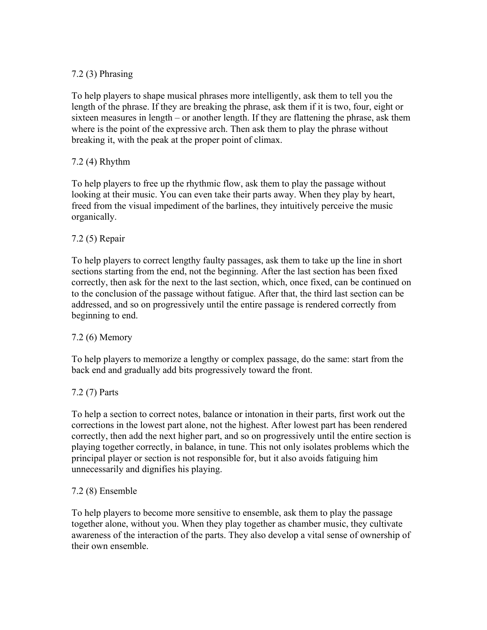# 7.2 (3) Phrasing

To help players to shape musical phrases more intelligently, ask them to tell you the length of the phrase. If they are breaking the phrase, ask them if it is two, four, eight or sixteen measures in length – or another length. If they are flattening the phrase, ask them where is the point of the expressive arch. Then ask them to play the phrase without breaking it, with the peak at the proper point of climax.

## 7.2 (4) Rhythm

To help players to free up the rhythmic flow, ask them to play the passage without looking at their music. You can even take their parts away. When they play by heart, freed from the visual impediment of the barlines, they intuitively perceive the music organically.

# 7.2 (5) Repair

To help players to correct lengthy faulty passages, ask them to take up the line in short sections starting from the end, not the beginning. After the last section has been fixed correctly, then ask for the next to the last section, which, once fixed, can be continued on to the conclusion of the passage without fatigue. After that, the third last section can be addressed, and so on progressively until the entire passage is rendered correctly from beginning to end.

# 7.2 (6) Memory

To help players to memorize a lengthy or complex passage, do the same: start from the back end and gradually add bits progressively toward the front.

# 7.2 (7) Parts

To help a section to correct notes, balance or intonation in their parts, first work out the corrections in the lowest part alone, not the highest. After lowest part has been rendered correctly, then add the next higher part, and so on progressively until the entire section is playing together correctly, in balance, in tune. This not only isolates problems which the principal player or section is not responsible for, but it also avoids fatiguing him unnecessarily and dignifies his playing.

## 7.2 (8) Ensemble

To help players to become more sensitive to ensemble, ask them to play the passage together alone, without you. When they play together as chamber music, they cultivate awareness of the interaction of the parts. They also develop a vital sense of ownership of their own ensemble.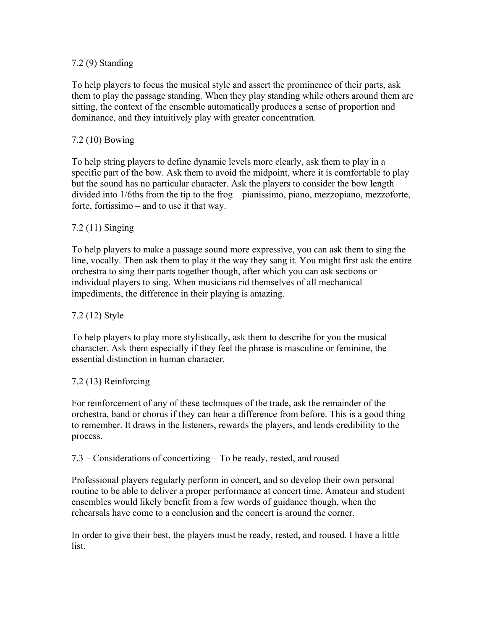## 7.2 (9) Standing

To help players to focus the musical style and assert the prominence of their parts, ask them to play the passage standing. When they play standing while others around them are sitting, the context of the ensemble automatically produces a sense of proportion and dominance, and they intuitively play with greater concentration.

## 7.2 (10) Bowing

To help string players to define dynamic levels more clearly, ask them to play in a specific part of the bow. Ask them to avoid the midpoint, where it is comfortable to play but the sound has no particular character. Ask the players to consider the bow length divided into 1/6ths from the tip to the frog – pianissimo, piano, mezzopiano, mezzoforte, forte, fortissimo – and to use it that way.

### 7.2 (11) Singing

To help players to make a passage sound more expressive, you can ask them to sing the line, vocally. Then ask them to play it the way they sang it. You might first ask the entire orchestra to sing their parts together though, after which you can ask sections or individual players to sing. When musicians rid themselves of all mechanical impediments, the difference in their playing is amazing.

### 7.2 (12) Style

To help players to play more stylistically, ask them to describe for you the musical character. Ask them especially if they feel the phrase is masculine or feminine, the essential distinction in human character.

#### 7.2 (13) Reinforcing

For reinforcement of any of these techniques of the trade, ask the remainder of the orchestra, band or chorus if they can hear a difference from before. This is a good thing to remember. It draws in the listeners, rewards the players, and lends credibility to the process.

#### 7.3 – Considerations of concertizing – To be ready, rested, and roused

Professional players regularly perform in concert, and so develop their own personal routine to be able to deliver a proper performance at concert time. Amateur and student ensembles would likely benefit from a few words of guidance though, when the rehearsals have come to a conclusion and the concert is around the corner.

In order to give their best, the players must be ready, rested, and roused. I have a little list.